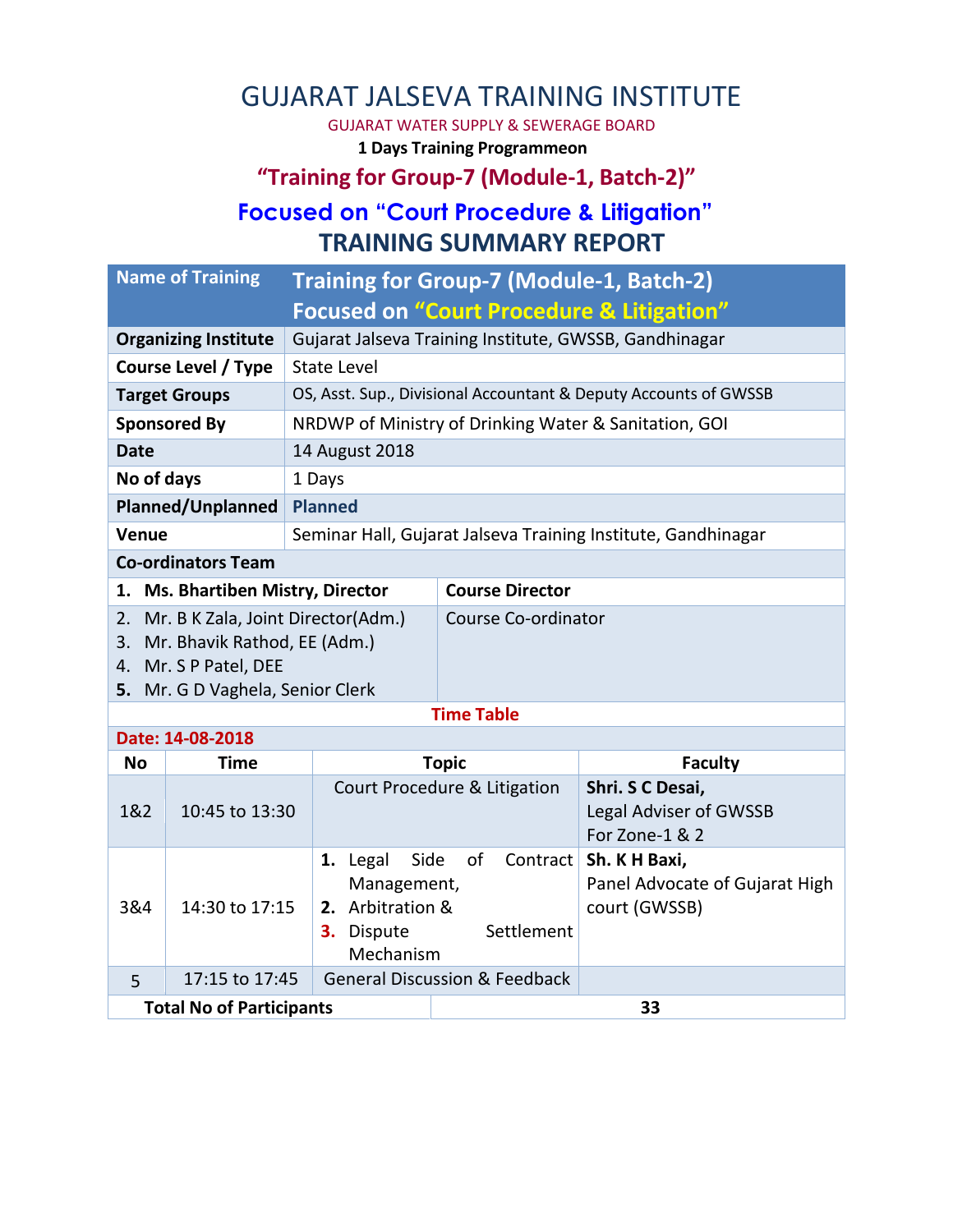# GUJARAT JALSEVA TRAINING INSTITUTE

GUJARAT WATER SUPPLY & SEWERAGE BOARD

**1 Days Training Programmeon**

### **"Training for Group-7 (Module-1, Batch-2)"**

# **Focused on "Court Procedure & Litigation" TRAINING SUMMARY REPORT**

| <b>Name of Training</b>                                                                              | Training for Group-7 (Module-1, Batch-2)<br><b>Focused on "Court Procedure &amp; Litigation"</b> |                                                                  |  |  |  |
|------------------------------------------------------------------------------------------------------|--------------------------------------------------------------------------------------------------|------------------------------------------------------------------|--|--|--|
| <b>Organizing Institute</b>                                                                          | Gujarat Jalseva Training Institute, GWSSB, Gandhinagar                                           |                                                                  |  |  |  |
| Course Level / Type                                                                                  | <b>State Level</b>                                                                               |                                                                  |  |  |  |
| <b>Target Groups</b>                                                                                 |                                                                                                  | OS, Asst. Sup., Divisional Accountant & Deputy Accounts of GWSSB |  |  |  |
| <b>Sponsored By</b>                                                                                  |                                                                                                  | NRDWP of Ministry of Drinking Water & Sanitation, GOI            |  |  |  |
| Date                                                                                                 | 14 August 2018                                                                                   |                                                                  |  |  |  |
| No of days                                                                                           | 1 Days                                                                                           |                                                                  |  |  |  |
| <b>Planned/Unplanned</b>                                                                             | <b>Planned</b>                                                                                   |                                                                  |  |  |  |
| <b>Venue</b>                                                                                         | Seminar Hall, Gujarat Jalseva Training Institute, Gandhinagar                                    |                                                                  |  |  |  |
| <b>Co-ordinators Team</b>                                                                            |                                                                                                  |                                                                  |  |  |  |
| <b>Ms. Bhartiben Mistry, Director</b><br>1.                                                          |                                                                                                  | <b>Course Director</b>                                           |  |  |  |
| 2. Mr. B K Zala, Joint Director(Adm.)<br>Mr. Bhavik Rathod, EE (Adm.)<br>3.<br>4. Mr. S P Patel, DEE |                                                                                                  | Course Co-ordinator                                              |  |  |  |

**5.** Mr. G D Vaghela, Senior Clerk

#### **Time Table**

| Date: 14-08-2018                |                |                                                                                                                 |                                                                     |  |  |  |  |  |  |
|---------------------------------|----------------|-----------------------------------------------------------------------------------------------------------------|---------------------------------------------------------------------|--|--|--|--|--|--|
| <b>No</b>                       | <b>Time</b>    | <b>Topic</b>                                                                                                    | <b>Faculty</b>                                                      |  |  |  |  |  |  |
| 1&2                             | 10:45 to 13:30 | Court Procedure & Litigation                                                                                    | Shri. S C Desai,<br><b>Legal Adviser of GWSSB</b><br>For Zone-1 & 2 |  |  |  |  |  |  |
| 3&4                             | 14:30 to 17:15 | <b>1.</b> Legal Side of Contract<br>Management,<br>2. Arbitration &<br>Settlement<br>Dispute<br>З.<br>Mechanism | Sh. K H Baxi,<br>Panel Advocate of Gujarat High<br>court (GWSSB)    |  |  |  |  |  |  |
| 5                               | 17:15 to 17:45 | <b>General Discussion &amp; Feedback</b>                                                                        |                                                                     |  |  |  |  |  |  |
| <b>Total No of Participants</b> |                |                                                                                                                 | 33                                                                  |  |  |  |  |  |  |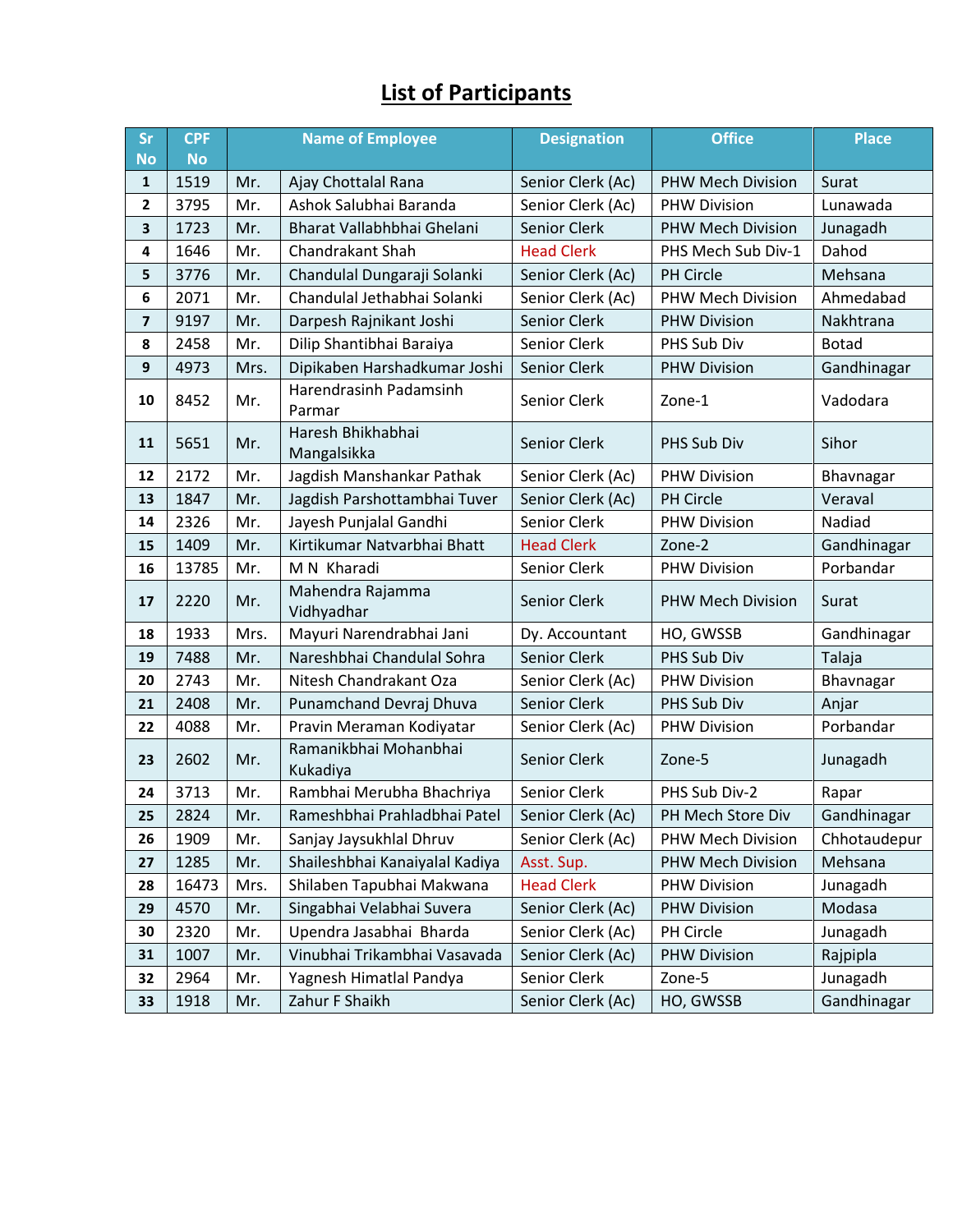# **List of Participants**

| <b>Sr</b>               | <b>CPF</b> | <b>Name of Employee</b> |                                   | <b>Designation</b> | <b>Office</b>            | <b>Place</b> |
|-------------------------|------------|-------------------------|-----------------------------------|--------------------|--------------------------|--------------|
| <b>No</b>               | <b>No</b>  |                         |                                   |                    |                          |              |
| 1                       | 1519       | Mr.                     | Ajay Chottalal Rana               | Senior Clerk (Ac)  | <b>PHW Mech Division</b> | Surat        |
| $\mathbf{2}$            | 3795       | Mr.                     | Ashok Salubhai Baranda            | Senior Clerk (Ac)  | <b>PHW Division</b>      | Lunawada     |
| 3                       | 1723       | Mr.                     | Bharat Vallabhbhai Ghelani        | Senior Clerk       | <b>PHW Mech Division</b> | Junagadh     |
| 4                       | 1646       | Mr.                     | Chandrakant Shah                  | <b>Head Clerk</b>  | PHS Mech Sub Div-1       | Dahod        |
| 5                       | 3776       | Mr.                     | Chandulal Dungaraji Solanki       | Senior Clerk (Ac)  | PH Circle                | Mehsana      |
| 6                       | 2071       | Mr.                     | Chandulal Jethabhai Solanki       | Senior Clerk (Ac)  | PHW Mech Division        | Ahmedabad    |
| $\overline{\mathbf{z}}$ | 9197       | Mr.                     | Darpesh Rajnikant Joshi           | Senior Clerk       | <b>PHW Division</b>      | Nakhtrana    |
| 8                       | 2458       | Mr.                     | Dilip Shantibhai Baraiya          | Senior Clerk       | PHS Sub Div              | <b>Botad</b> |
| 9                       | 4973       | Mrs.                    | Dipikaben Harshadkumar Joshi      | Senior Clerk       | <b>PHW Division</b>      | Gandhinagar  |
| 10                      | 8452       | Mr.                     | Harendrasinh Padamsinh<br>Parmar  | Senior Clerk       | Zone-1                   | Vadodara     |
| 11                      | 5651       | Mr.                     | Haresh Bhikhabhai<br>Mangalsikka  | Senior Clerk       | PHS Sub Div              | Sihor        |
| 12                      | 2172       | Mr.                     | Jagdish Manshankar Pathak         | Senior Clerk (Ac)  | <b>PHW Division</b>      | Bhavnagar    |
| 13                      | 1847       | Mr.                     | Jagdish Parshottambhai Tuver      | Senior Clerk (Ac)  | PH Circle                | Veraval      |
| 14                      | 2326       | Mr.                     | Jayesh Punjalal Gandhi            | Senior Clerk       | <b>PHW Division</b>      | Nadiad       |
| 15                      | 1409       | Mr.                     | Kirtikumar Natvarbhai Bhatt       | <b>Head Clerk</b>  | Zone-2                   | Gandhinagar  |
| 16                      | 13785      | Mr.                     | M N Kharadi                       | Senior Clerk       | <b>PHW Division</b>      | Porbandar    |
| 17                      | 2220       | Mr.                     | Mahendra Rajamma<br>Vidhyadhar    | Senior Clerk       | <b>PHW Mech Division</b> | Surat        |
| 18                      | 1933       | Mrs.                    | Mayuri Narendrabhai Jani          | Dy. Accountant     | HO, GWSSB                | Gandhinagar  |
| 19                      | 7488       | Mr.                     | Nareshbhai Chandulal Sohra        | Senior Clerk       | PHS Sub Div              | Talaja       |
| 20                      | 2743       | Mr.                     | Nitesh Chandrakant Oza            | Senior Clerk (Ac)  | <b>PHW Division</b>      | Bhavnagar    |
| 21                      | 2408       | Mr.                     | Punamchand Devraj Dhuva           | Senior Clerk       | PHS Sub Div              | Anjar        |
| 22                      | 4088       | Mr.                     | Pravin Meraman Kodiyatar          | Senior Clerk (Ac)  | <b>PHW Division</b>      | Porbandar    |
| 23                      | 2602       | Mr.                     | Ramanikbhai Mohanbhai<br>Kukadiya | Senior Clerk       | Zone-5                   | Junagadh     |
| 24                      | 3713       | Mr.                     | Rambhai Merubha Bhachriya         | Senior Clerk       | PHS Sub Div-2            | Rapar        |
| 25                      | 2824       | Mr.                     | Rameshbhai Prahladbhai Patel      | Senior Clerk (Ac)  | PH Mech Store Div        | Gandhinagar  |
| 26                      | 1909       | Mr.                     | Sanjay Jaysukhlal Dhruv           | Senior Clerk (Ac)  | PHW Mech Division        | Chhotaudepur |
| 27                      | 1285       | Mr.                     | Shaileshbhai Kanaiyalal Kadiya    | Asst. Sup.         | PHW Mech Division        | Mehsana      |
| 28                      | 16473      | Mrs.                    | Shilaben Tapubhai Makwana         | <b>Head Clerk</b>  | <b>PHW Division</b>      | Junagadh     |
| 29                      | 4570       | Mr.                     | Singabhai Velabhai Suvera         | Senior Clerk (Ac)  | <b>PHW Division</b>      | Modasa       |
| 30                      | 2320       | Mr.                     | Upendra Jasabhai Bharda           | Senior Clerk (Ac)  | PH Circle                | Junagadh     |
| 31                      | 1007       | Mr.                     | Vinubhai Trikambhai Vasavada      | Senior Clerk (Ac)  | <b>PHW Division</b>      | Rajpipla     |
| 32                      | 2964       | Mr.                     | Yagnesh Himatlal Pandya           | Senior Clerk       | Zone-5                   | Junagadh     |
| 33                      | 1918       | Mr.                     | Zahur F Shaikh                    | Senior Clerk (Ac)  | HO, GWSSB                | Gandhinagar  |